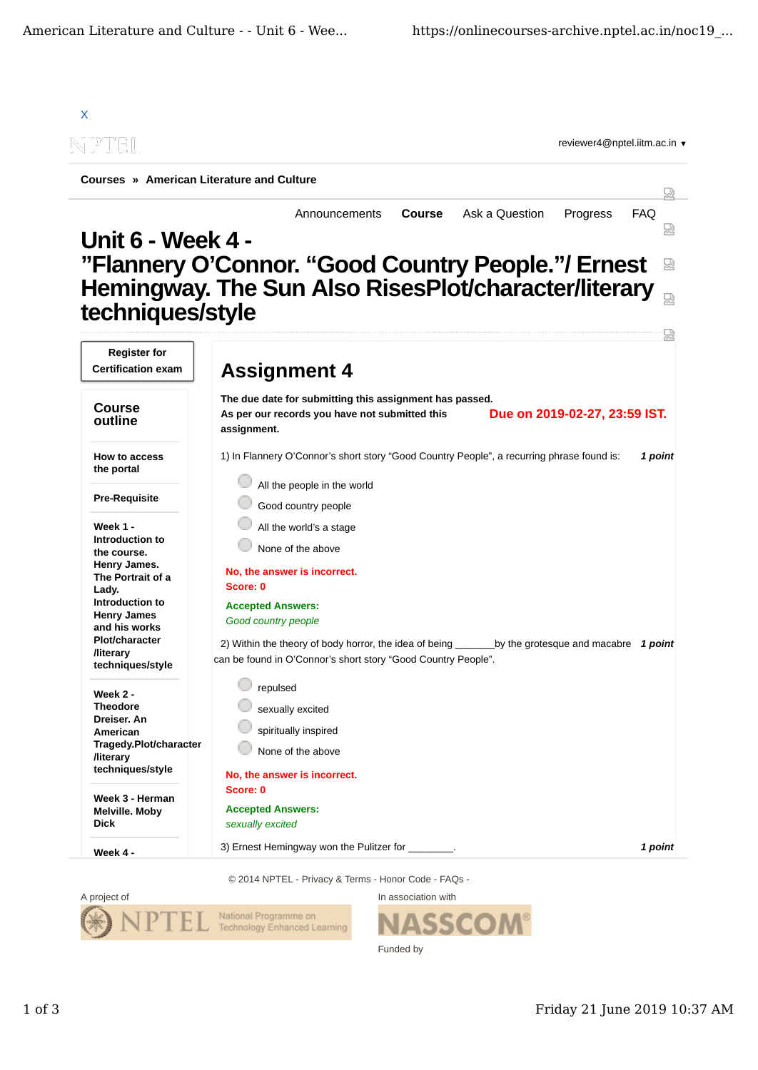

© 2014 NPTEL - Privacy & Terms - Honor Code - FAQs -



SSC Funded by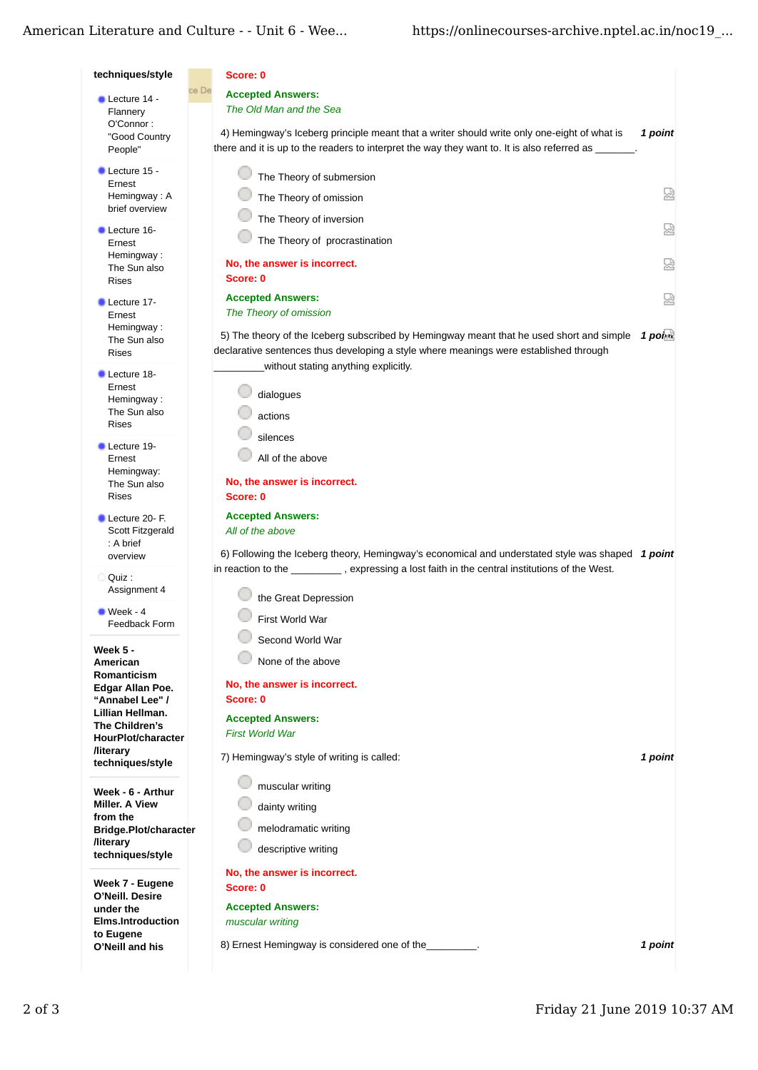## American Literature and Culture - - Unit 6 - Wee...

| techniques/style                           | Score: 0                                                                                                                                                                                                                  |         |
|--------------------------------------------|---------------------------------------------------------------------------------------------------------------------------------------------------------------------------------------------------------------------------|---------|
| Lecture 14 -                               | ce De<br><b>Accepted Answers:</b>                                                                                                                                                                                         |         |
| Flannery                                   | The Old Man and the Sea                                                                                                                                                                                                   |         |
| O'Connor:                                  | 4) Hemingway's Iceberg principle meant that a writer should write only one-eight of what is                                                                                                                               | 1 point |
| "Good Country<br>People"                   | there and it is up to the readers to interpret the way they want to. It is also referred as                                                                                                                               |         |
| $\blacksquare$ Lecture 15 -<br>Ernest      | The Theory of submersion                                                                                                                                                                                                  |         |
| Hemingway: A<br>brief overview             | The Theory of omission                                                                                                                                                                                                    | 덣       |
| <b>Lecture 16-</b>                         | The Theory of inversion                                                                                                                                                                                                   | 品       |
| Ernest<br>Hemingway:                       | The Theory of procrastination                                                                                                                                                                                             |         |
| The Sun also<br>Rises                      | No, the answer is incorrect.<br>Score: 0                                                                                                                                                                                  | 덣       |
| Lecture 17-                                | <b>Accepted Answers:</b>                                                                                                                                                                                                  | 덣       |
| Ernest                                     | The Theory of omission                                                                                                                                                                                                    |         |
| Hemingway:<br>The Sun also<br><b>Rises</b> | 5) The theory of the Iceberg subscribed by Hemingway meant that he used short and simple<br>declarative sentences thus developing a style where meanings were established through<br>without stating anything explicitly. | 1 ports |
| Lecture 18-                                |                                                                                                                                                                                                                           |         |
| Ernest<br>Hemingway:                       | dialogues                                                                                                                                                                                                                 |         |
| The Sun also                               | actions                                                                                                                                                                                                                   |         |
| <b>Rises</b>                               | silences                                                                                                                                                                                                                  |         |
| Lecture 19-                                |                                                                                                                                                                                                                           |         |
| Ernest<br>Hemingway:                       | All of the above                                                                                                                                                                                                          |         |
| The Sun also                               | No, the answer is incorrect.                                                                                                                                                                                              |         |
| Rises                                      | Score: 0                                                                                                                                                                                                                  |         |
| Lecture 20- F.                             | <b>Accepted Answers:</b>                                                                                                                                                                                                  |         |
| Scott Fitzgerald                           | All of the above                                                                                                                                                                                                          |         |
| : A brief<br>overview                      | 6) Following the Iceberg theory, Hemingway's economical and understated style was shaped $1$ point                                                                                                                        |         |
| Quiz :                                     | in reaction to the __________, expressing a lost faith in the central institutions of the West.                                                                                                                           |         |
| Assignment 4                               | the Great Depression                                                                                                                                                                                                      |         |
| $Week - 4$                                 | First World War                                                                                                                                                                                                           |         |
| Feedback Form                              | Second World War                                                                                                                                                                                                          |         |
| <b>Week 5 -</b><br>American                | None of the above                                                                                                                                                                                                         |         |
| Romanticism                                |                                                                                                                                                                                                                           |         |
| Edgar Allan Poe.<br>"Annabel Lee" /        | No, the answer is incorrect.<br>Score: 0                                                                                                                                                                                  |         |
| Lillian Hellman.                           |                                                                                                                                                                                                                           |         |
| The Children's                             | <b>Accepted Answers:</b><br><b>First World War</b>                                                                                                                                                                        |         |
| HourPlot/character<br><b>/literary</b>     |                                                                                                                                                                                                                           |         |
| techniques/style                           | 7) Hemingway's style of writing is called:                                                                                                                                                                                | 1 point |
| Week - 6 - Arthur                          | muscular writing                                                                                                                                                                                                          |         |
| <b>Miller, A View</b><br>from the          | dainty writing                                                                                                                                                                                                            |         |
| Bridge.Plot/character                      | melodramatic writing                                                                                                                                                                                                      |         |
| <b>/literary</b><br>techniques/style       | descriptive writing                                                                                                                                                                                                       |         |
|                                            | No, the answer is incorrect.                                                                                                                                                                                              |         |
| Week 7 - Eugene<br>O'Neill. Desire         | Score: 0                                                                                                                                                                                                                  |         |
| under the                                  | <b>Accepted Answers:</b>                                                                                                                                                                                                  |         |
|                                            | muscular writing                                                                                                                                                                                                          |         |
| <b>Elms.Introduction</b><br>to Eugene      |                                                                                                                                                                                                                           |         |